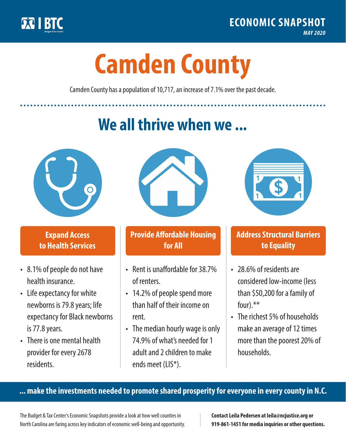

**1**

# **Camden County**

Camden County has a population of 10,717, an increase of 7.1% over the past decade.

# **We all thrive when we ...**



**\$ <sup>1</sup>**

**\$ <sup>1</sup>**

## **Expand Access to Health Services**

- 8.1% of people do not have health insurance.
- Life expectancy for white newborns is 79.8years; life expectancy for Black newborns is 77.8years.
- There is one mental health provider for every 2678 residents.



## **Provide Affordable Housing for All**

- Rent is unaffordable for 38.7% of renters.
- 14.2% of people spend more than half of their income on rent.
- The median hourly wage is only 74.9% of what's needed for 1 adult and 2 children to make ends meet (LIS\*).



## **Address Structural Barriers to Equality**

- 28.6% of residents are considered low-income (less than \$50,200 for a family of four).\*\*
- The richest 5% of households make an average of 12 times more than the poorest 20% of households.

#### **... make the investments needed to promote shared prosperity for everyone in every county in N.C.**

The Budget & Tax Center's Economic Snapshots provide a look at how well counties in North Carolina are faring across key indicators of economic well-being and opportunity.